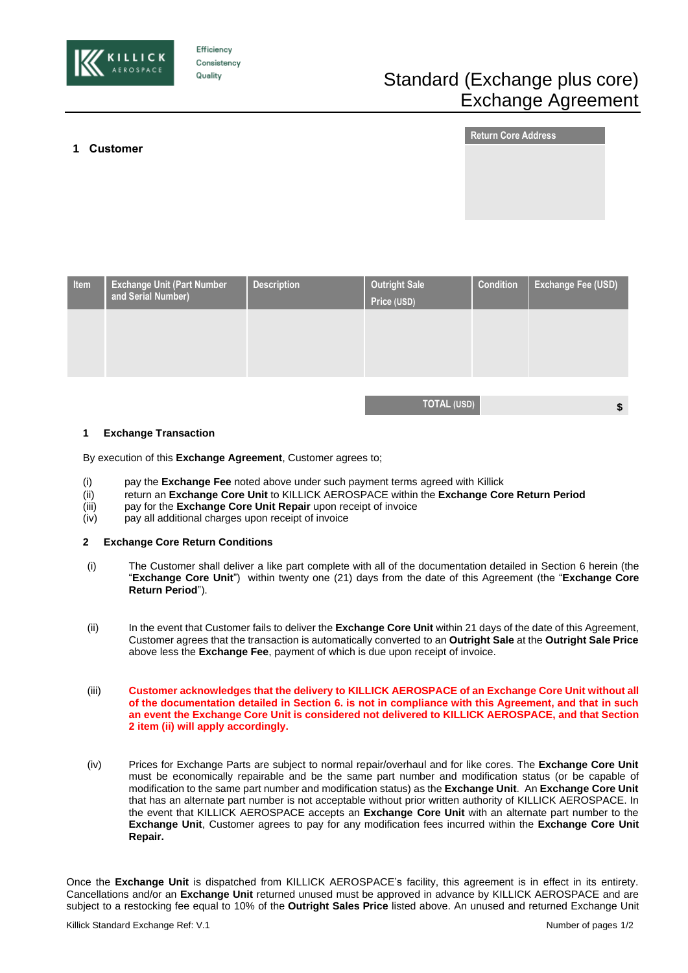

**1 Customer** 

Efficiency Consistency Quality

# Standard (Exchange plus core) Exchange Agreement

**TOTAL (USD) \$**

# **Return Core Address**

| Item | <b>Exchange Unit (Part Number</b><br>and Serial Number) | <b>Description</b> | <b>Outright Sale</b><br>Price (USD) | <b>Condition</b> | <b>Exchange Fee (USD)</b> |
|------|---------------------------------------------------------|--------------------|-------------------------------------|------------------|---------------------------|
|      |                                                         |                    |                                     |                  |                           |
|      |                                                         |                    |                                     |                  |                           |

# **1 Exchange Transaction**

By execution of this **Exchange Agreement**, Customer agrees to;

- (i) pay the **Exchange Fee** noted above under such payment terms agreed with Killick
- (ii) return an **Exchange Core Unit** to KILLICK AEROSPACE within the **Exchange Core Return Period**
- (iii) pay for the **Exchange Core Unit Repair** upon receipt of invoice
- (iv) pay all additional charges upon receipt of invoice

#### **2 Exchange Core Return Conditions**

- (i) The Customer shall deliver a like part complete with all of the documentation detailed in Section 6 herein (the "**Exchange Core Unit**") within twenty one (21) days from the date of this Agreement (the "**Exchange Core Return Period**").
- (ii) In the event that Customer fails to deliver the **Exchange Core Unit** within 21 days of the date of this Agreement, Customer agrees that the transaction is automatically converted to an **Outright Sale** at the **Outright Sale Price**  above less the **Exchange Fee**, payment of which is due upon receipt of invoice.
- (iii) **Customer acknowledges that the delivery to KILLICK AEROSPACE of an Exchange Core Unit without all of the documentation detailed in Section 6. is not in compliance with this Agreement, and that in such an event the Exchange Core Unit is considered not delivered to KILLICK AEROSPACE, and that Section 2 item (ii) will apply accordingly.**
- (iv) Prices for Exchange Parts are subject to normal repair/overhaul and for like cores. The **Exchange Core Unit** must be economically repairable and be the same part number and modification status (or be capable of modification to the same part number and modification status) as the **Exchange Unit**. An **Exchange Core Unit** that has an alternate part number is not acceptable without prior written authority of KILLICK AEROSPACE. In the event that KILLICK AEROSPACE accepts an **Exchange Core Unit** with an alternate part number to the **Exchange Unit**, Customer agrees to pay for any modification fees incurred within the **Exchange Core Unit Repair.**

Once the **Exchange Unit** is dispatched from KILLICK AEROSPACE's facility, this agreement is in effect in its entirety. Cancellations and/or an **Exchange Unit** returned unused must be approved in advance by KILLICK AEROSPACE and are subject to a restocking fee equal to 10% of the **Outright Sales Price** listed above. An unused and returned Exchange Unit